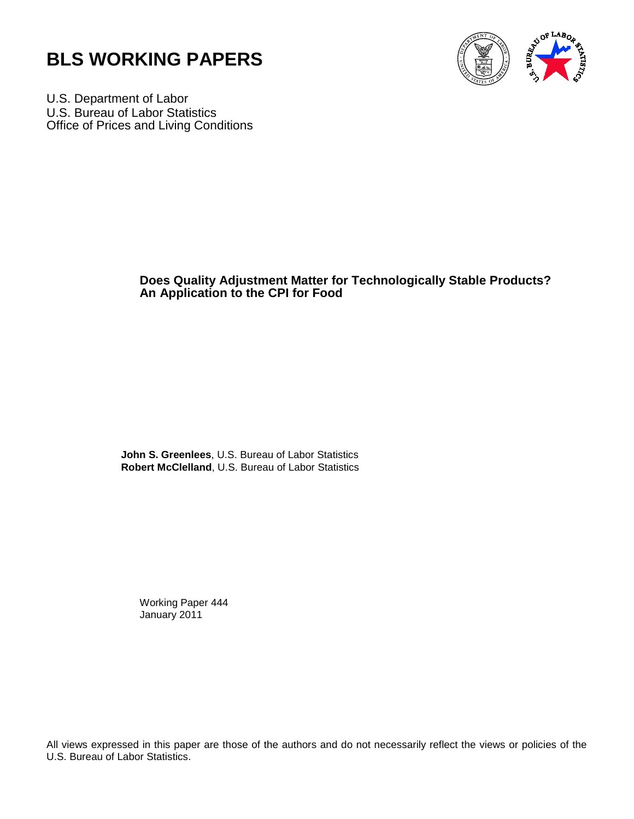



U.S. Department of Labor U.S. Bureau of Labor Statistics Office of Prices and Living Conditions

## **Does Quality Adjustment Matter for Technologically Stable Products? An Application to the CPI for Food**

**John S. Greenlees**, U.S. Bureau of Labor Statistics **Robert McClelland**, U.S. Bureau of Labor Statistics

Working Paper 444 January 2011

All views expressed in this paper are those of the authors and do not necessarily reflect the views or policies of the U.S. Bureau of Labor Statistics.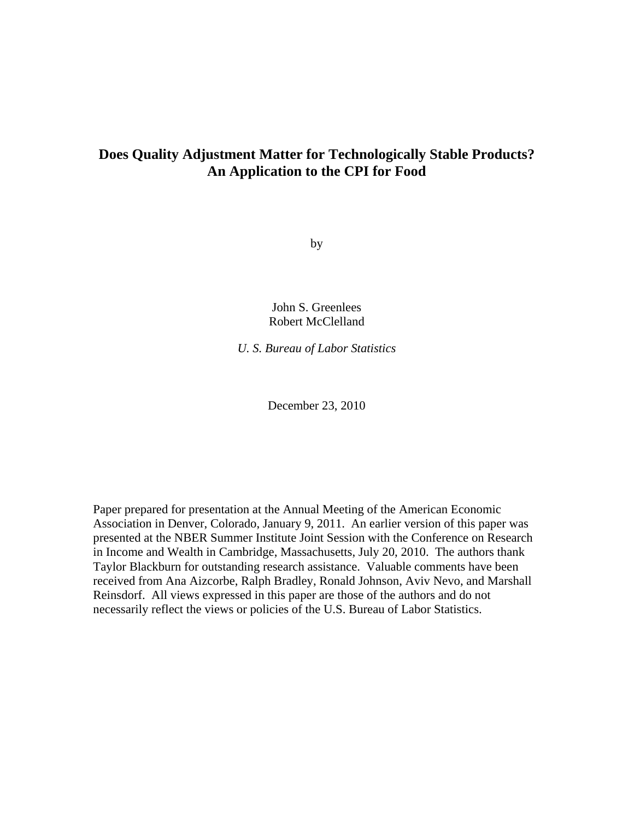# **Does Quality Adjustment Matter for Technologically Stable Products? An Application to the CPI for Food**

by

John S. Greenlees Robert McClelland

*U. S. Bureau of Labor Statistics* 

December 23, 2010

Paper prepared for presentation at the Annual Meeting of the American Economic Association in Denver, Colorado, January 9, 2011. An earlier version of this paper was presented at the NBER Summer Institute Joint Session with the Conference on Research in Income and Wealth in Cambridge, Massachusetts, July 20, 2010. The authors thank Taylor Blackburn for outstanding research assistance. Valuable comments have been received from Ana Aizcorbe, Ralph Bradley, Ronald Johnson, Aviv Nevo, and Marshall Reinsdorf. All views expressed in this paper are those of the authors and do not necessarily reflect the views or policies of the U.S. Bureau of Labor Statistics.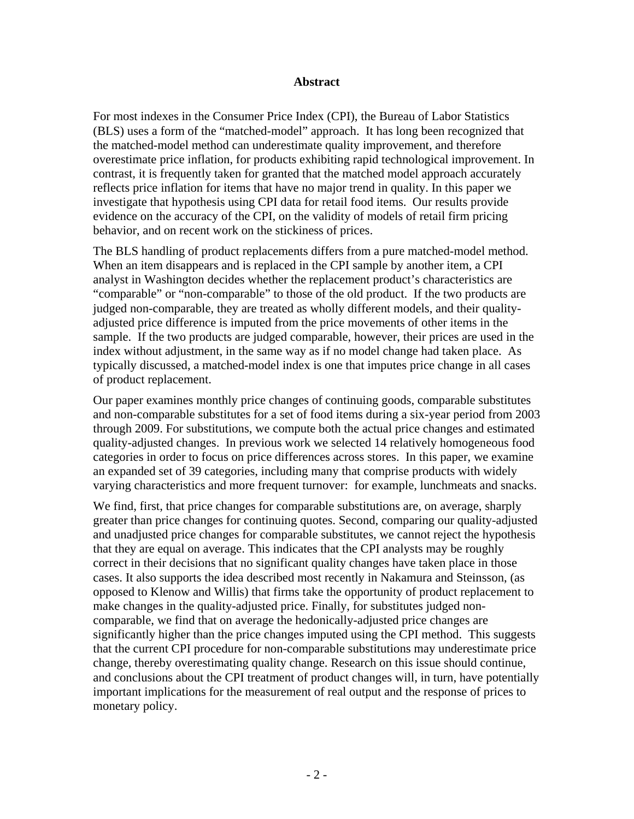#### **Abstract**

For most indexes in the Consumer Price Index (CPI), the Bureau of Labor Statistics (BLS) uses a form of the "matched-model" approach. It has long been recognized that the matched-model method can underestimate quality improvement, and therefore overestimate price inflation, for products exhibiting rapid technological improvement. In contrast, it is frequently taken for granted that the matched model approach accurately reflects price inflation for items that have no major trend in quality. In this paper we investigate that hypothesis using CPI data for retail food items. Our results provide evidence on the accuracy of the CPI, on the validity of models of retail firm pricing behavior, and on recent work on the stickiness of prices.

The BLS handling of product replacements differs from a pure matched-model method. When an item disappears and is replaced in the CPI sample by another item, a CPI analyst in Washington decides whether the replacement product's characteristics are "comparable" or "non-comparable" to those of the old product. If the two products are judged non-comparable, they are treated as wholly different models, and their qualityadjusted price difference is imputed from the price movements of other items in the sample. If the two products are judged comparable, however, their prices are used in the index without adjustment, in the same way as if no model change had taken place. As typically discussed, a matched-model index is one that imputes price change in all cases of product replacement.

Our paper examines monthly price changes of continuing goods, comparable substitutes and non-comparable substitutes for a set of food items during a six-year period from 2003 through 2009. For substitutions, we compute both the actual price changes and estimated quality-adjusted changes. In previous work we selected 14 relatively homogeneous food categories in order to focus on price differences across stores. In this paper, we examine an expanded set of 39 categories, including many that comprise products with widely varying characteristics and more frequent turnover: for example, lunchmeats and snacks.

We find, first, that price changes for comparable substitutions are, on average, sharply greater than price changes for continuing quotes. Second, comparing our quality-adjusted and unadjusted price changes for comparable substitutes, we cannot reject the hypothesis that they are equal on average. This indicates that the CPI analysts may be roughly correct in their decisions that no significant quality changes have taken place in those cases. It also supports the idea described most recently in Nakamura and Steinsson, (as opposed to Klenow and Willis) that firms take the opportunity of product replacement to make changes in the quality-adjusted price. Finally, for substitutes judged noncomparable, we find that on average the hedonically-adjusted price changes are significantly higher than the price changes imputed using the CPI method. This suggests that the current CPI procedure for non-comparable substitutions may underestimate price change, thereby overestimating quality change. Research on this issue should continue, and conclusions about the CPI treatment of product changes will, in turn, have potentially important implications for the measurement of real output and the response of prices to monetary policy.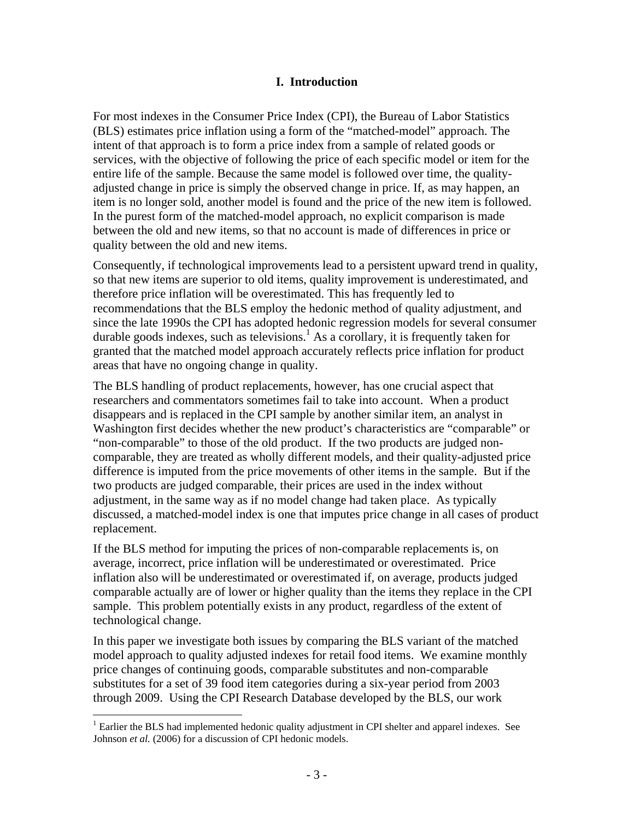#### **I. Introduction**

For most indexes in the Consumer Price Index (CPI), the Bureau of Labor Statistics (BLS) estimates price inflation using a form of the "matched-model" approach. The intent of that approach is to form a price index from a sample of related goods or services, with the objective of following the price of each specific model or item for the entire life of the sample. Because the same model is followed over time, the qualityadjusted change in price is simply the observed change in price. If, as may happen, an item is no longer sold, another model is found and the price of the new item is followed. In the purest form of the matched-model approach, no explicit comparison is made between the old and new items, so that no account is made of differences in price or quality between the old and new items.

Consequently, if technological improvements lead to a persistent upward trend in quality, so that new items are superior to old items, quality improvement is underestimated, and therefore price inflation will be overestimated. This has frequently led to recommendations that the BLS employ the hedonic method of quality adjustment, and since the late 1990s the CPI has adopted hedonic regression models for several consumer durable goods indexes, such as televisions.<sup>1</sup> As a corollary, it is frequently taken for granted that the matched model approach accurately reflects price inflation for product areas that have no ongoing change in quality.

The BLS handling of product replacements, however, has one crucial aspect that researchers and commentators sometimes fail to take into account. When a product disappears and is replaced in the CPI sample by another similar item, an analyst in Washington first decides whether the new product's characteristics are "comparable" or "non-comparable" to those of the old product. If the two products are judged noncomparable, they are treated as wholly different models, and their quality-adjusted price difference is imputed from the price movements of other items in the sample. But if the two products are judged comparable, their prices are used in the index without adjustment, in the same way as if no model change had taken place. As typically discussed, a matched-model index is one that imputes price change in all cases of product replacement.

If the BLS method for imputing the prices of non-comparable replacements is, on average, incorrect, price inflation will be underestimated or overestimated. Price inflation also will be underestimated or overestimated if, on average, products judged comparable actually are of lower or higher quality than the items they replace in the CPI sample. This problem potentially exists in any product, regardless of the extent of technological change.

In this paper we investigate both issues by comparing the BLS variant of the matched model approach to quality adjusted indexes for retail food items. We examine monthly price changes of continuing goods, comparable substitutes and non-comparable substitutes for a set of 39 food item categories during a six-year period from 2003 through 2009. Using the CPI Research Database developed by the BLS, our work

 $1$  Earlier the BLS had implemented hedonic quality adjustment in CPI shelter and apparel indexes. See Johnson *et al.* (2006) for a discussion of CPI hedonic models.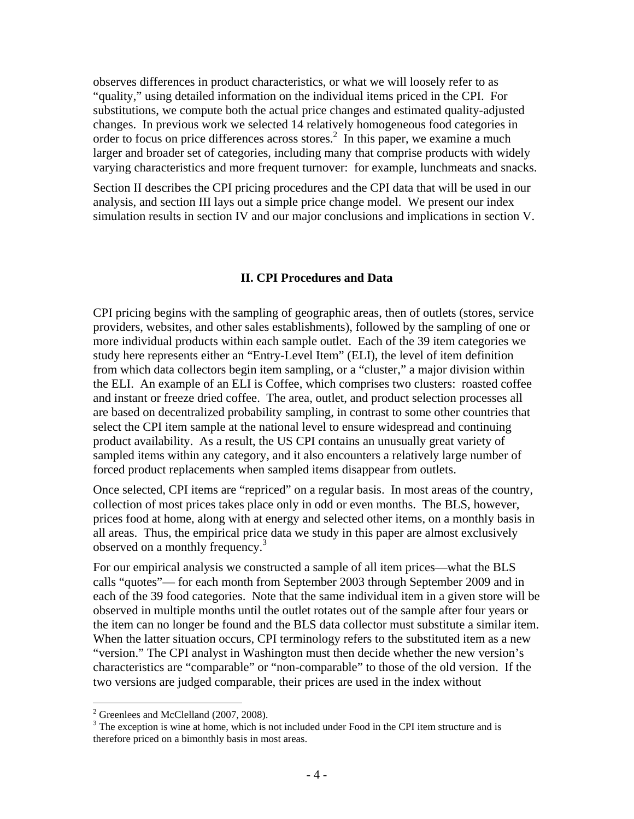observes differences in product characteristics, or what we will loosely refer to as "quality," using detailed information on the individual items priced in the CPI. For substitutions, we compute both the actual price changes and estimated quality-adjusted changes. In previous work we selected 14 relatively homogeneous food categories in order to focus on price differences across stores.<sup>2</sup> In this paper, we examine a much larger and broader set of categories, including many that comprise products with widely varying characteristics and more frequent turnover: for example, lunchmeats and snacks.

Section II describes the CPI pricing procedures and the CPI data that will be used in our analysis, and section III lays out a simple price change model. We present our index simulation results in section IV and our major conclusions and implications in section V.

#### **II. CPI Procedures and Data**

CPI pricing begins with the sampling of geographic areas, then of outlets (stores, service providers, websites, and other sales establishments), followed by the sampling of one or more individual products within each sample outlet. Each of the 39 item categories we study here represents either an "Entry-Level Item" (ELI), the level of item definition from which data collectors begin item sampling, or a "cluster," a major division within the ELI. An example of an ELI is Coffee, which comprises two clusters: roasted coffee and instant or freeze dried coffee. The area, outlet, and product selection processes all are based on decentralized probability sampling, in contrast to some other countries that select the CPI item sample at the national level to ensure widespread and continuing product availability. As a result, the US CPI contains an unusually great variety of sampled items within any category, and it also encounters a relatively large number of forced product replacements when sampled items disappear from outlets.

Once selected, CPI items are "repriced" on a regular basis. In most areas of the country, collection of most prices takes place only in odd or even months. The BLS, however, prices food at home, along with at energy and selected other items, on a monthly basis in all areas. Thus, the empirical price data we study in this paper are almost exclusively observed on a monthly frequency.<sup>3</sup>

For our empirical analysis we constructed a sample of all item prices—what the BLS calls "quotes"— for each month from September 2003 through September 2009 and in each of the 39 food categories. Note that the same individual item in a given store will be observed in multiple months until the outlet rotates out of the sample after four years or the item can no longer be found and the BLS data collector must substitute a similar item. When the latter situation occurs, CPI terminology refers to the substituted item as a new "version." The CPI analyst in Washington must then decide whether the new version's characteristics are "comparable" or "non-comparable" to those of the old version. If the two versions are judged comparable, their prices are used in the index without

 $2^2$  Greenlees and McClelland (2007, 2008).

 $3$  The exception is wine at home, which is not included under Food in the CPI item structure and is therefore priced on a bimonthly basis in most areas.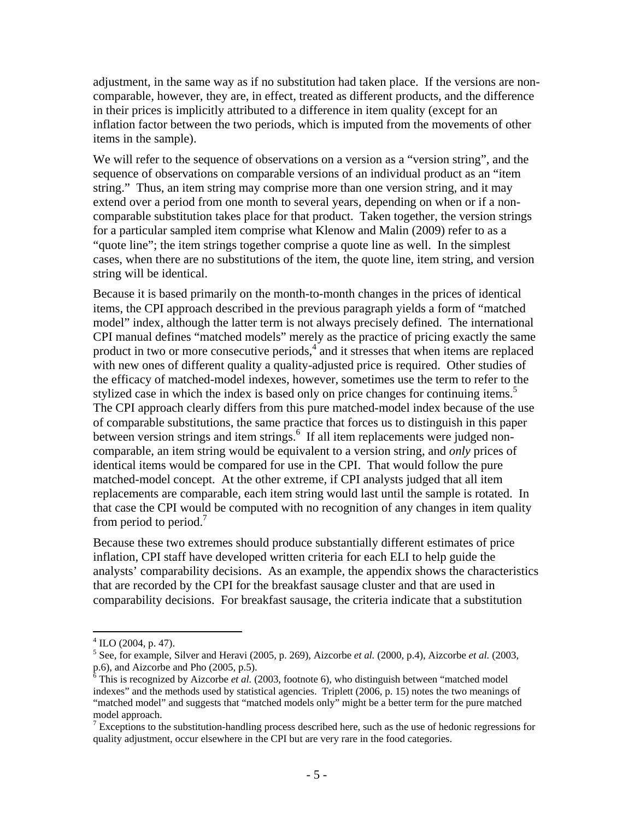adjustment, in the same way as if no substitution had taken place. If the versions are noncomparable, however, they are, in effect, treated as different products, and the difference in their prices is implicitly attributed to a difference in item quality (except for an inflation factor between the two periods, which is imputed from the movements of other items in the sample).

We will refer to the sequence of observations on a version as a "version string", and the sequence of observations on comparable versions of an individual product as an "item string." Thus, an item string may comprise more than one version string, and it may extend over a period from one month to several years, depending on when or if a noncomparable substitution takes place for that product. Taken together, the version strings for a particular sampled item comprise what Klenow and Malin (2009) refer to as a "quote line"; the item strings together comprise a quote line as well. In the simplest cases, when there are no substitutions of the item, the quote line, item string, and version string will be identical.

Because it is based primarily on the month-to-month changes in the prices of identical items, the CPI approach described in the previous paragraph yields a form of "matched model" index, although the latter term is not always precisely defined. The international CPI manual defines "matched models" merely as the practice of pricing exactly the same product in two or more consecutive periods,<sup>4</sup> and it stresses that when items are replaced with new ones of different quality a quality-adjusted price is required. Other studies of the efficacy of matched-model indexes, however, sometimes use the term to refer to the stylized case in which the index is based only on price changes for continuing items.<sup>5</sup> The CPI approach clearly differs from this pure matched-model index because of the use of comparable substitutions, the same practice that forces us to distinguish in this paper between version strings and item strings.<sup>6</sup> If all item replacements were judged noncomparable, an item string would be equivalent to a version string, and *only* prices of identical items would be compared for use in the CPI. That would follow the pure matched-model concept. At the other extreme, if CPI analysts judged that all item replacements are comparable, each item string would last until the sample is rotated. In that case the CPI would be computed with no recognition of any changes in item quality from period to period.<sup>7</sup>

Because these two extremes should produce substantially different estimates of price inflation, CPI staff have developed written criteria for each ELI to help guide the analysts' comparability decisions. As an example, the appendix shows the characteristics that are recorded by the CPI for the breakfast sausage cluster and that are used in comparability decisions. For breakfast sausage, the criteria indicate that a substitution

1

 $4^4$  ILO (2004, p. 47).

<sup>5</sup> See, for example, Silver and Heravi (2005, p. 269), Aizcorbe *et al.* (2000, p.4), Aizcorbe *et al.* (2003, p.6), and Aizcorbe and Pho (2005, p.5).

 $6$  This is recognized by Aizcorbe *et al.* (2003, footnote 6), who distinguish between "matched model" indexes" and the methods used by statistical agencies. Triplett (2006, p. 15) notes the two meanings of "matched model" and suggests that "matched models only" might be a better term for the pure matched model approach.

 $<sup>7</sup>$  Exceptions to the substitution-handling process described here, such as the use of hedonic regressions for</sup> quality adjustment, occur elsewhere in the CPI but are very rare in the food categories.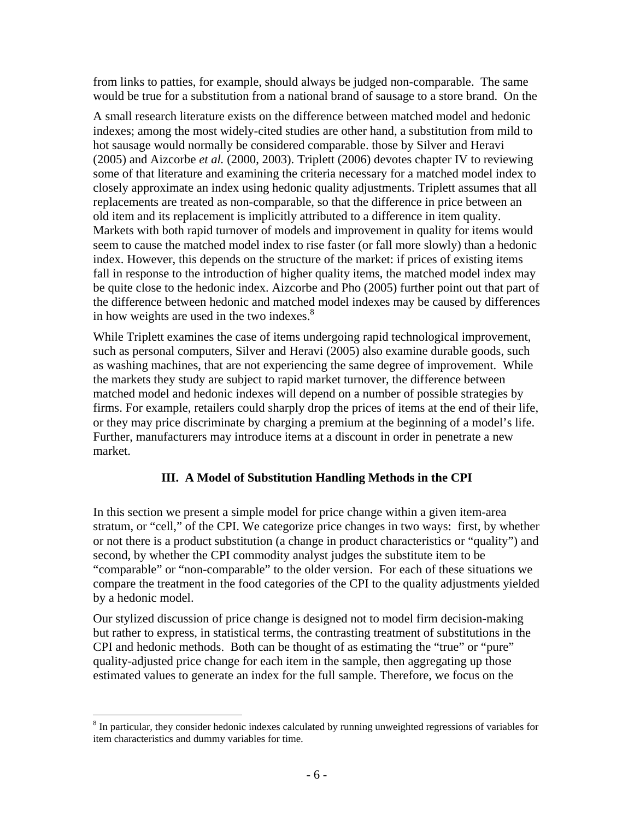from links to patties, for example, should always be judged non-comparable. The same would be true for a substitution from a national brand of sausage to a store brand. On the

A small research literature exists on the difference between matched model and hedonic indexes; among the most widely-cited studies are other hand, a substitution from mild to hot sausage would normally be considered comparable. those by Silver and Heravi (2005) and Aizcorbe *et al.* (2000, 2003). Triplett (2006) devotes chapter IV to reviewing some of that literature and examining the criteria necessary for a matched model index to closely approximate an index using hedonic quality adjustments. Triplett assumes that all replacements are treated as non-comparable, so that the difference in price between an old item and its replacement is implicitly attributed to a difference in item quality. Markets with both rapid turnover of models and improvement in quality for items would seem to cause the matched model index to rise faster (or fall more slowly) than a hedonic index. However, this depends on the structure of the market: if prices of existing items fall in response to the introduction of higher quality items, the matched model index may be quite close to the hedonic index. Aizcorbe and Pho (2005) further point out that part of the difference between hedonic and matched model indexes may be caused by differences in how weights are used in the two indexes. $8<sup>8</sup>$ 

While Triplett examines the case of items undergoing rapid technological improvement, such as personal computers, Silver and Heravi (2005) also examine durable goods, such as washing machines, that are not experiencing the same degree of improvement. While the markets they study are subject to rapid market turnover, the difference between matched model and hedonic indexes will depend on a number of possible strategies by firms. For example, retailers could sharply drop the prices of items at the end of their life, or they may price discriminate by charging a premium at the beginning of a model's life. Further, manufacturers may introduce items at a discount in order in penetrate a new market.

## **III. A Model of Substitution Handling Methods in the CPI**

In this section we present a simple model for price change within a given item-area stratum, or "cell," of the CPI. We categorize price changes in two ways: first, by whether or not there is a product substitution (a change in product characteristics or "quality") and second, by whether the CPI commodity analyst judges the substitute item to be "comparable" or "non-comparable" to the older version. For each of these situations we compare the treatment in the food categories of the CPI to the quality adjustments yielded by a hedonic model.

Our stylized discussion of price change is designed not to model firm decision-making but rather to express, in statistical terms, the contrasting treatment of substitutions in the CPI and hedonic methods. Both can be thought of as estimating the "true" or "pure" quality-adjusted price change for each item in the sample, then aggregating up those estimated values to generate an index for the full sample. Therefore, we focus on the

<sup>&</sup>lt;sup>8</sup> In particular, they consider hedonic indexes calculated by running unweighted regressions of variables for item characteristics and dummy variables for time.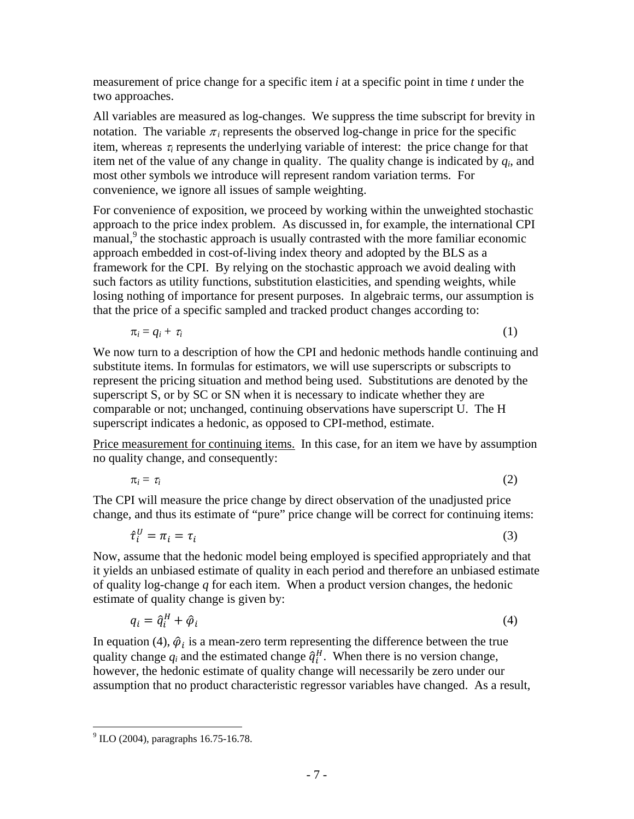measurement of price change for a specific item *i* at a specific point in time *t* under the two approaches.

All variables are measured as log-changes. We suppress the time subscript for brevity in notation. The variable  $\pi_i$  represents the observed log-change in price for the specific item, whereas  $\tau_i$  represents the underlying variable of interest: the price change for that item net of the value of any change in quality. The quality change is indicated by *qi*, and most other symbols we introduce will represent random variation terms. For convenience, we ignore all issues of sample weighting.

For convenience of exposition, we proceed by working within the unweighted stochastic approach to the price index problem. As discussed in, for example, the international CPI manual,<sup>9</sup> the stochastic approach is usually contrasted with the more familiar economic approach embedded in cost-of-living index theory and adopted by the BLS as a framework for the CPI. By relying on the stochastic approach we avoid dealing with such factors as utility functions, substitution elasticities, and spending weights, while losing nothing of importance for present purposes. In algebraic terms, our assumption is that the price of a specific sampled and tracked product changes according to:

$$
\pi_i = q_i + \tau_i \tag{1}
$$

We now turn to a description of how the CPI and hedonic methods handle continuing and substitute items. In formulas for estimators, we will use superscripts or subscripts to represent the pricing situation and method being used. Substitutions are denoted by the superscript S, or by SC or SN when it is necessary to indicate whether they are comparable or not; unchanged, continuing observations have superscript U. The H superscript indicates a hedonic, as opposed to CPI-method, estimate.

Price measurement for continuing items. In this case, for an item we have by assumption no quality change, and consequently:

$$
\pi_i = \tau_i \tag{2}
$$

The CPI will measure the price change by direct observation of the unadjusted price change, and thus its estimate of "pure" price change will be correct for continuing items:

$$
\hat{\tau}_i^U = \pi_i = \tau_i \tag{3}
$$

Now, assume that the hedonic model being employed is specified appropriately and that it yields an unbiased estimate of quality in each period and therefore an unbiased estimate of quality log-change *q* for each item. When a product version changes, the hedonic estimate of quality change is given by:

$$
q_i = \hat{q}_i^H + \hat{\varphi}_i \tag{4}
$$

In equation (4),  $\hat{\varphi}_i$  is a mean-zero term representing the difference between the true quality change  $q_i$  and the estimated change  $\hat{q}_i^H$ . When there is no version change, however, the hedonic estimate of quality change will necessarily be zero under our assumption that no product characteristic regressor variables have changed. As a result,

<sup>&</sup>lt;u>.</u> <sup>9</sup> ILO (2004), paragraphs 16.75-16.78.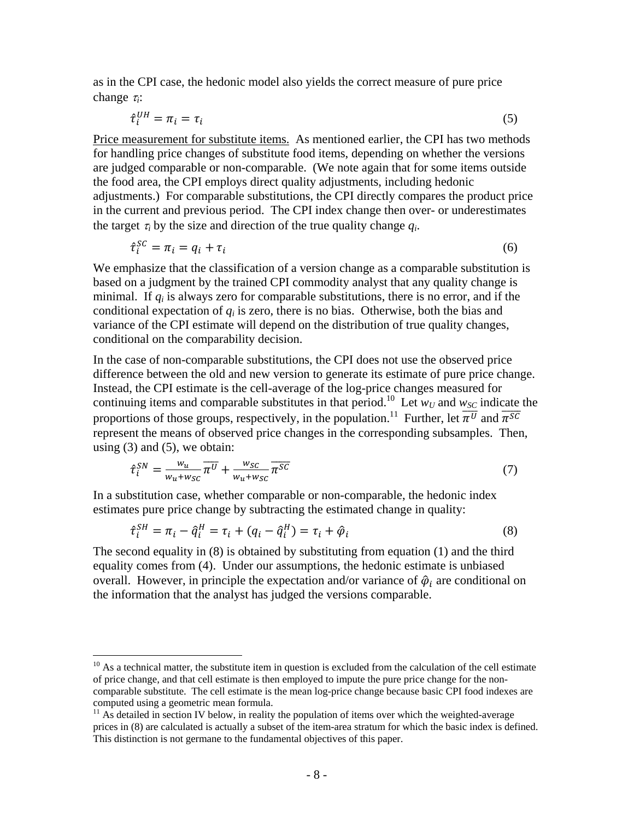as in the CPI case, the hedonic model also yields the correct measure of pure price change  $\tau_i$ :

$$
\hat{\tau}_i^{UH} = \pi_i = \tau_i \tag{5}
$$

Price measurement for substitute items. As mentioned earlier, the CPI has two methods for handling price changes of substitute food items, depending on whether the versions are judged comparable or non-comparable. (We note again that for some items outside the food area, the CPI employs direct quality adjustments, including hedonic adjustments.) For comparable substitutions, the CPI directly compares the product price in the current and previous period. The CPI index change then over- or underestimates the target  $\tau_i$  by the size and direction of the true quality change  $q_i$ .

$$
\hat{\tau}_i^{SC} = \pi_i = q_i + \tau_i \tag{6}
$$

We emphasize that the classification of a version change as a comparable substitution is based on a judgment by the trained CPI commodity analyst that any quality change is minimal. If *qi* is always zero for comparable substitutions, there is no error, and if the conditional expectation of  $q_i$  is zero, there is no bias. Otherwise, both the bias and variance of the CPI estimate will depend on the distribution of true quality changes, conditional on the comparability decision.

In the case of non-comparable substitutions, the CPI does not use the observed price difference between the old and new version to generate its estimate of pure price change. Instead, the CPI estimate is the cell-average of the log-price changes measured for continuing items and comparable substitutes in that period.<sup>10</sup> Let  $w_U$  and  $w_{SC}$  indicate the proportions of those groups, respectively, in the population.<sup>11</sup> Further, let  $\overline{\pi^{U}}$  and  $\overline{\pi^{SC}}$ represent the means of observed price changes in the corresponding subsamples. Then, using  $(3)$  and  $(5)$ , we obtain:

$$
\hat{\tau}_i^{SN} = \frac{w_u}{w_u + w_{SC}} \overline{\pi^U} + \frac{w_{SC}}{w_u + w_{SC}} \overline{\pi^{SC}}
$$
\n<sup>(7)</sup>

In a substitution case, whether comparable or non-comparable, the hedonic index estimates pure price change by subtracting the estimated change in quality:

$$
\hat{\tau}_i^{SH} = \pi_i - \hat{q}_i^H = \tau_i + (q_i - \hat{q}_i^H) = \tau_i + \hat{\varphi}_i
$$
\n(8)

The second equality in (8) is obtained by substituting from equation (1) and the third equality comes from (4). Under our assumptions, the hedonic estimate is unbiased overall. However, in principle the expectation and/or variance of  $\hat{\varphi}_i$  are conditional on the information that the analyst has judged the versions comparable.

 $10$  As a technical matter, the substitute item in question is excluded from the calculation of the cell estimate of price change, and that cell estimate is then employed to impute the pure price change for the noncomparable substitute. The cell estimate is the mean log-price change because basic CPI food indexes are computed using a geometric mean formula.

 $11$  As detailed in section IV below, in reality the population of items over which the weighted-average prices in (8) are calculated is actually a subset of the item-area stratum for which the basic index is defined. This distinction is not germane to the fundamental objectives of this paper.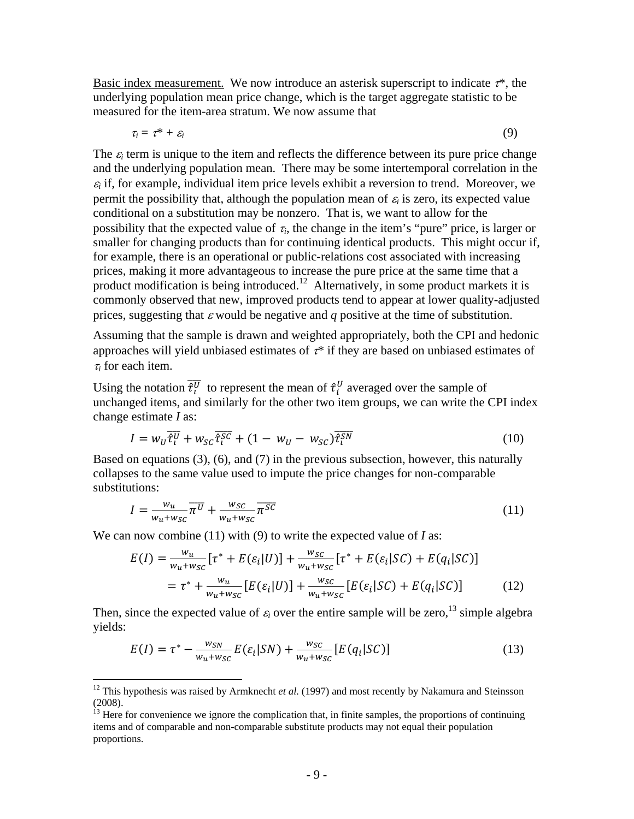Basic index measurement. We now introduce an asterisk superscript to indicate  $\tau^*$ , the underlying population mean price change, which is the target aggregate statistic to be measured for the item-area stratum. We now assume that

 $\tau_i = \tau^* + \varepsilon_i$  (9)

The  $\varepsilon_i$  term is unique to the item and reflects the difference between its pure price change and the underlying population mean. There may be some intertemporal correlation in the  $\varepsilon$  if, for example, individual item price levels exhibit a reversion to trend. Moreover, we permit the possibility that, although the population mean of  $\varepsilon_i$  is zero, its expected value conditional on a substitution may be nonzero. That is, we want to allow for the possibility that the expected value of  $\tau_i$ , the change in the item's "pure" price, is larger or smaller for changing products than for continuing identical products. This might occur if, for example, there is an operational or public-relations cost associated with increasing prices, making it more advantageous to increase the pure price at the same time that a product modification is being introduced.<sup>12</sup> Alternatively, in some product markets it is commonly observed that new, improved products tend to appear at lower quality-adjusted prices, suggesting that  $\varepsilon$  would be negative and  $q$  positive at the time of substitution.

Assuming that the sample is drawn and weighted appropriately, both the CPI and hedonic approaches will yield unbiased estimates of  $\tau^*$  if they are based on unbiased estimates of  $\tau_i$  for each item.

Using the notation  $\bar{\tau}_i^{\bar{U}}$  to represent the mean of  $\hat{\tau}_i^{\bar{U}}$  averaged over the sample of unchanged items, and similarly for the other two item groups, we can write the CPI index change estimate *I* as:

$$
I = w_U \overline{\hat{\tau}_l^U} + w_{SC} \overline{\hat{\tau}_l^{SC}} + (1 - w_U - w_{SC}) \overline{\hat{\tau}_l^{SN}}
$$
(10)

Based on equations (3), (6), and (7) in the previous subsection, however, this naturally collapses to the same value used to impute the price changes for non-comparable substitutions:

$$
I = \frac{w_u}{w_u + w_{SC}} \overline{\pi^U} + \frac{w_{SC}}{w_u + w_{SC}} \overline{\pi^{SC}}
$$
 (11)

We can now combine (11) with (9) to write the expected value of *I* as:

1

$$
E(I) = \frac{w_u}{w_u + w_{SC}} [\tau^* + E(\varepsilon_i | U)] + \frac{w_{SC}}{w_u + w_{SC}} [\tau^* + E(\varepsilon_i | SC) + E(q_i | SC)]
$$
  
=  $\tau^* + \frac{w_u}{w_u + w_{SC}} [E(\varepsilon_i | U)] + \frac{w_{SC}}{w_u + w_{SC}} [E(\varepsilon_i | SC) + E(q_i | SC)]$  (12)

Then, since the expected value of  $\varepsilon_i$  over the entire sample will be zero,<sup>13</sup> simple algebra yields:

$$
E(I) = \tau^* - \frac{w_{SN}}{w_u + w_{SC}} E(\varepsilon_i | SN) + \frac{w_{SC}}{w_u + w_{SC}} [E(q_i | SC)] \tag{13}
$$

<sup>&</sup>lt;sup>12</sup> This hypothesis was raised by Armknecht *et al.* (1997) and most recently by Nakamura and Steinsson (2008).

 $<sup>13</sup>$  Here for convenience we ignore the complication that, in finite samples, the proportions of continuing</sup> items and of comparable and non-comparable substitute products may not equal their population proportions.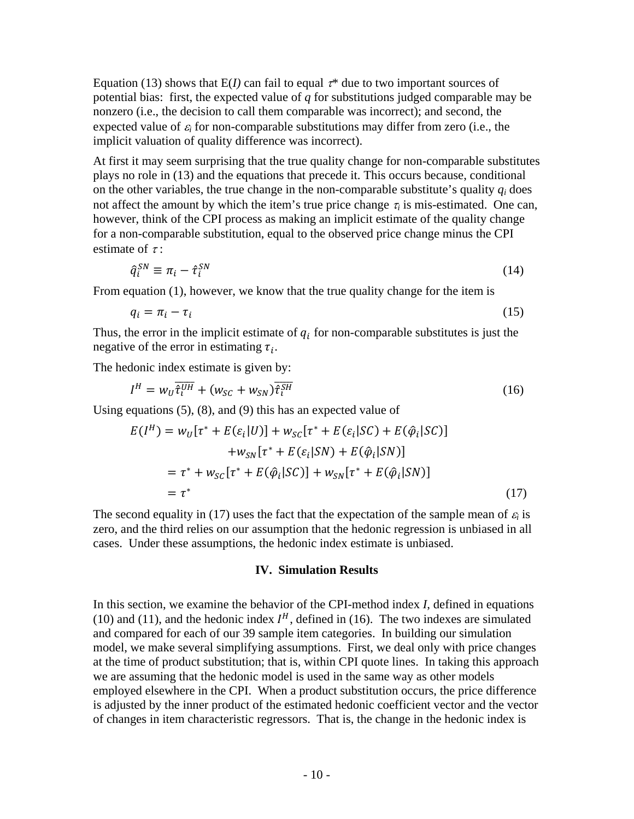Equation (13) shows that  $E(I)$  can fail to equal  $\tau^*$  due to two important sources of potential bias: first, the expected value of *q* for substitutions judged comparable may be nonzero (i.e., the decision to call them comparable was incorrect); and second, the expected value of  $\varepsilon_i$  for non-comparable substitutions may differ from zero (i.e., the implicit valuation of quality difference was incorrect).

At first it may seem surprising that the true quality change for non-comparable substitutes plays no role in (13) and the equations that precede it. This occurs because, conditional on the other variables, the true change in the non-comparable substitute's quality  $q_i$  does not affect the amount by which the item's true price change  $\tau_i$  is mis-estimated. One can, however, think of the CPI process as making an implicit estimate of the quality change for a non-comparable substitution, equal to the observed price change minus the CPI estimate of  $\tau$ :

$$
\hat{q}_i^{SN} \equiv \pi_i - \hat{\tau}_i^{SN} \tag{14}
$$

From equation (1), however, we know that the true quality change for the item is

$$
q_i = \pi_i - \tau_i \tag{15}
$$

Thus, the error in the implicit estimate of  $q_i$  for non-comparable substitutes is just the negative of the error in estimating  $\tau_i$ .

The hedonic index estimate is given by:

$$
I^H = w_U \overline{\hat{\tau}_l^{UH}} + (w_{SC} + w_{SN}) \overline{\hat{\tau}_l^{SH}}
$$
\n(16)

Using equations (5), (8), and (9) this has an expected value of

$$
E(I^{H}) = w_{U}[\tau^{*} + E(\varepsilon_{i}|U)] + w_{SC}[\tau^{*} + E(\varepsilon_{i}|SC) + E(\hat{\varphi}_{i}|SC)]
$$
  
+ 
$$
w_{SN}[\tau^{*} + E(\varepsilon_{i}|SN) + E(\hat{\varphi}_{i}|SN)]
$$
  
= 
$$
\tau^{*} + w_{SC}[\tau^{*} + E(\hat{\varphi}_{i}|SC)] + w_{SN}[\tau^{*} + E(\hat{\varphi}_{i}|SN)]
$$
  
= 
$$
\tau^{*}
$$
 (17)

The second equality in (17) uses the fact that the expectation of the sample mean of  $\varepsilon_i$  is zero, and the third relies on our assumption that the hedonic regression is unbiased in all cases. Under these assumptions, the hedonic index estimate is unbiased.

#### **IV. Simulation Results**

In this section, we examine the behavior of the CPI-method index *I*, defined in equations (10) and (11), and the hedonic index  $I<sup>H</sup>$ , defined in (16). The two indexes are simulated and compared for each of our 39 sample item categories. In building our simulation model, we make several simplifying assumptions. First, we deal only with price changes at the time of product substitution; that is, within CPI quote lines. In taking this approach we are assuming that the hedonic model is used in the same way as other models employed elsewhere in the CPI. When a product substitution occurs, the price difference is adjusted by the inner product of the estimated hedonic coefficient vector and the vector of changes in item characteristic regressors. That is, the change in the hedonic index is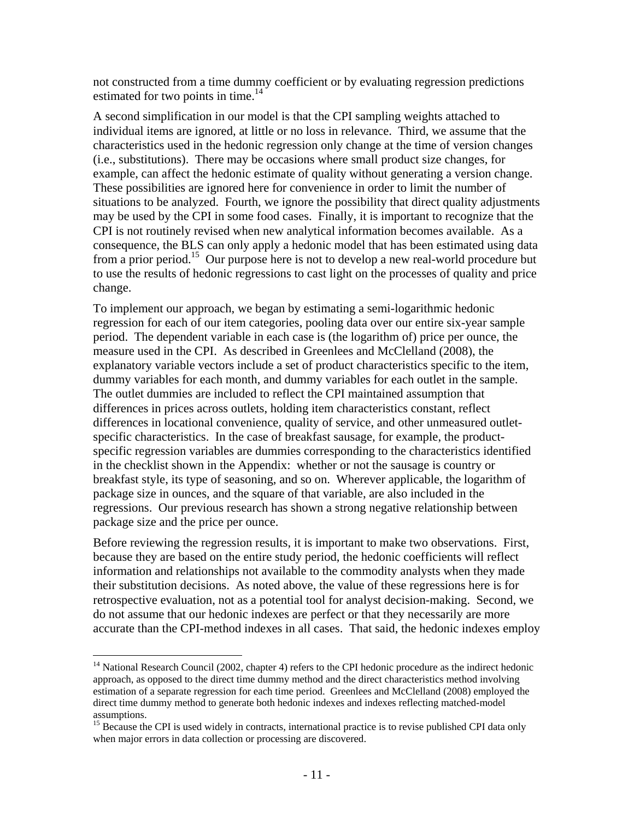not constructed from a time dummy coefficient or by evaluating regression predictions estimated for two points in time.<sup>14</sup>

A second simplification in our model is that the CPI sampling weights attached to individual items are ignored, at little or no loss in relevance. Third, we assume that the characteristics used in the hedonic regression only change at the time of version changes (i.e., substitutions). There may be occasions where small product size changes, for example, can affect the hedonic estimate of quality without generating a version change. These possibilities are ignored here for convenience in order to limit the number of situations to be analyzed. Fourth, we ignore the possibility that direct quality adjustments may be used by the CPI in some food cases. Finally, it is important to recognize that the CPI is not routinely revised when new analytical information becomes available. As a consequence, the BLS can only apply a hedonic model that has been estimated using data from a prior period.15 Our purpose here is not to develop a new real-world procedure but to use the results of hedonic regressions to cast light on the processes of quality and price change.

To implement our approach, we began by estimating a semi-logarithmic hedonic regression for each of our item categories, pooling data over our entire six-year sample period. The dependent variable in each case is (the logarithm of) price per ounce, the measure used in the CPI. As described in Greenlees and McClelland (2008), the explanatory variable vectors include a set of product characteristics specific to the item, dummy variables for each month, and dummy variables for each outlet in the sample. The outlet dummies are included to reflect the CPI maintained assumption that differences in prices across outlets, holding item characteristics constant, reflect differences in locational convenience, quality of service, and other unmeasured outletspecific characteristics. In the case of breakfast sausage, for example, the productspecific regression variables are dummies corresponding to the characteristics identified in the checklist shown in the Appendix: whether or not the sausage is country or breakfast style, its type of seasoning, and so on. Wherever applicable, the logarithm of package size in ounces, and the square of that variable, are also included in the regressions. Our previous research has shown a strong negative relationship between package size and the price per ounce.

Before reviewing the regression results, it is important to make two observations. First, because they are based on the entire study period, the hedonic coefficients will reflect information and relationships not available to the commodity analysts when they made their substitution decisions. As noted above, the value of these regressions here is for retrospective evaluation, not as a potential tool for analyst decision-making. Second, we do not assume that our hedonic indexes are perfect or that they necessarily are more accurate than the CPI-method indexes in all cases. That said, the hedonic indexes employ

 $14$  National Research Council (2002, chapter 4) refers to the CPI hedonic procedure as the indirect hedonic approach, as opposed to the direct time dummy method and the direct characteristics method involving estimation of a separate regression for each time period. Greenlees and McClelland (2008) employed the direct time dummy method to generate both hedonic indexes and indexes reflecting matched-model assumptions.

<sup>&</sup>lt;sup>15</sup> Because the CPI is used widely in contracts, international practice is to revise published CPI data only when major errors in data collection or processing are discovered.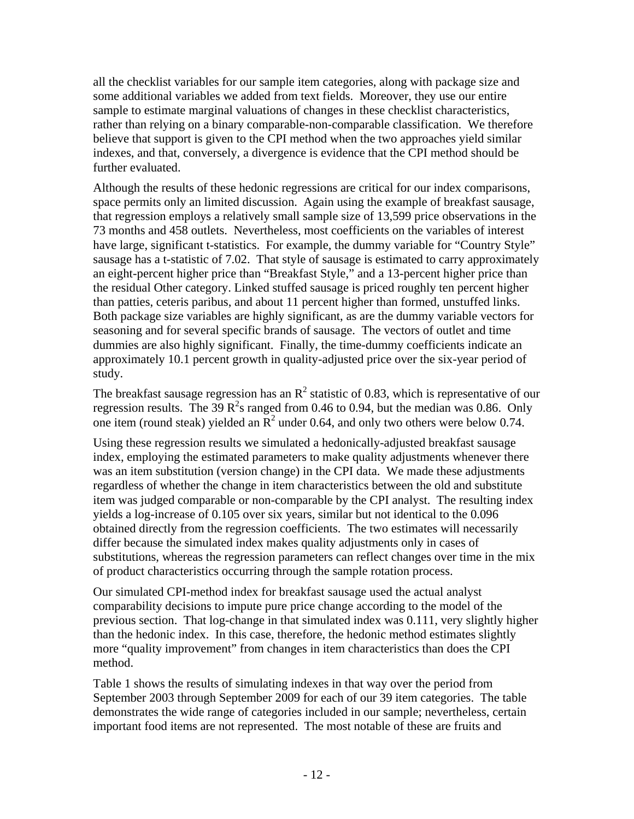all the checklist variables for our sample item categories, along with package size and some additional variables we added from text fields. Moreover, they use our entire sample to estimate marginal valuations of changes in these checklist characteristics, rather than relying on a binary comparable-non-comparable classification. We therefore believe that support is given to the CPI method when the two approaches yield similar indexes, and that, conversely, a divergence is evidence that the CPI method should be further evaluated.

Although the results of these hedonic regressions are critical for our index comparisons, space permits only an limited discussion. Again using the example of breakfast sausage, that regression employs a relatively small sample size of 13,599 price observations in the 73 months and 458 outlets. Nevertheless, most coefficients on the variables of interest have large, significant t-statistics. For example, the dummy variable for "Country Style" sausage has a t-statistic of 7.02. That style of sausage is estimated to carry approximately an eight-percent higher price than "Breakfast Style," and a 13-percent higher price than the residual Other category. Linked stuffed sausage is priced roughly ten percent higher than patties, ceteris paribus, and about 11 percent higher than formed, unstuffed links. Both package size variables are highly significant, as are the dummy variable vectors for seasoning and for several specific brands of sausage. The vectors of outlet and time dummies are also highly significant. Finally, the time-dummy coefficients indicate an approximately 10.1 percent growth in quality-adjusted price over the six-year period of study.

The breakfast sausage regression has an  $R^2$  statistic of 0.83, which is representative of our regression results. The 39  $\mathbb{R}^2$ s ranged from 0.46 to 0.94, but the median was 0.86. Only one item (round steak) yielded an  $\mathbb{R}^2$  under 0.64, and only two others were below 0.74.

Using these regression results we simulated a hedonically-adjusted breakfast sausage index, employing the estimated parameters to make quality adjustments whenever there was an item substitution (version change) in the CPI data. We made these adjustments regardless of whether the change in item characteristics between the old and substitute item was judged comparable or non-comparable by the CPI analyst. The resulting index yields a log-increase of 0.105 over six years, similar but not identical to the 0.096 obtained directly from the regression coefficients. The two estimates will necessarily differ because the simulated index makes quality adjustments only in cases of substitutions, whereas the regression parameters can reflect changes over time in the mix of product characteristics occurring through the sample rotation process.

Our simulated CPI-method index for breakfast sausage used the actual analyst comparability decisions to impute pure price change according to the model of the previous section. That log-change in that simulated index was 0.111, very slightly higher than the hedonic index. In this case, therefore, the hedonic method estimates slightly more "quality improvement" from changes in item characteristics than does the CPI method.

Table 1 shows the results of simulating indexes in that way over the period from September 2003 through September 2009 for each of our 39 item categories. The table demonstrates the wide range of categories included in our sample; nevertheless, certain important food items are not represented. The most notable of these are fruits and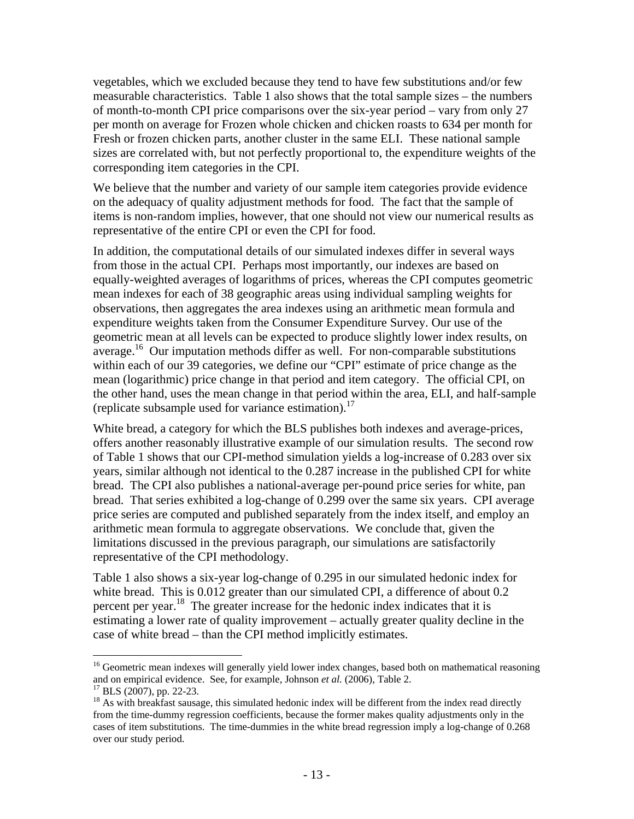vegetables, which we excluded because they tend to have few substitutions and/or few measurable characteristics. Table 1 also shows that the total sample sizes – the numbers of month-to-month CPI price comparisons over the six-year period – vary from only 27 per month on average for Frozen whole chicken and chicken roasts to 634 per month for Fresh or frozen chicken parts, another cluster in the same ELI. These national sample sizes are correlated with, but not perfectly proportional to, the expenditure weights of the corresponding item categories in the CPI.

We believe that the number and variety of our sample item categories provide evidence on the adequacy of quality adjustment methods for food. The fact that the sample of items is non-random implies, however, that one should not view our numerical results as representative of the entire CPI or even the CPI for food.

In addition, the computational details of our simulated indexes differ in several ways from those in the actual CPI. Perhaps most importantly, our indexes are based on equally-weighted averages of logarithms of prices, whereas the CPI computes geometric mean indexes for each of 38 geographic areas using individual sampling weights for observations, then aggregates the area indexes using an arithmetic mean formula and expenditure weights taken from the Consumer Expenditure Survey. Our use of the geometric mean at all levels can be expected to produce slightly lower index results, on average.<sup>16</sup> Our imputation methods differ as well. For non-comparable substitutions within each of our 39 categories, we define our "CPI" estimate of price change as the mean (logarithmic) price change in that period and item category. The official CPI, on the other hand, uses the mean change in that period within the area, ELI, and half-sample (replicate subsample used for variance estimation). $17$ 

White bread, a category for which the BLS publishes both indexes and average-prices, offers another reasonably illustrative example of our simulation results. The second row of Table 1 shows that our CPI-method simulation yields a log-increase of 0.283 over six years, similar although not identical to the 0.287 increase in the published CPI for white bread. The CPI also publishes a national-average per-pound price series for white, pan bread. That series exhibited a log-change of 0.299 over the same six years. CPI average price series are computed and published separately from the index itself, and employ an arithmetic mean formula to aggregate observations. We conclude that, given the limitations discussed in the previous paragraph, our simulations are satisfactorily representative of the CPI methodology.

Table 1 also shows a six-year log-change of 0.295 in our simulated hedonic index for white bread. This is 0.012 greater than our simulated CPI, a difference of about 0.2 percent per year.18 The greater increase for the hedonic index indicates that it is estimating a lower rate of quality improvement – actually greater quality decline in the case of white bread – than the CPI method implicitly estimates.

<sup>&</sup>lt;sup>16</sup> Geometric mean indexes will generally yield lower index changes, based both on mathematical reasoning and on empirical evidence. See, for example, Johnson *et al.* (2006), Table 2. 17 BLS (2007), pp. 22-23.

<sup>&</sup>lt;sup>18</sup> As with breakfast sausage, this simulated hedonic index will be different from the index read directly from the time-dummy regression coefficients, because the former makes quality adjustments only in the cases of item substitutions. The time-dummies in the white bread regression imply a log-change of 0.268 over our study period.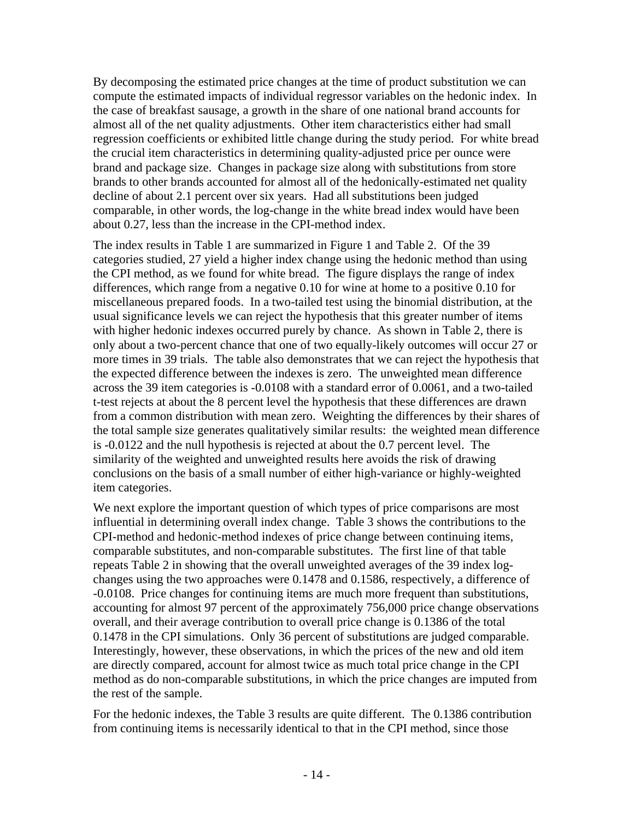By decomposing the estimated price changes at the time of product substitution we can compute the estimated impacts of individual regressor variables on the hedonic index. In the case of breakfast sausage, a growth in the share of one national brand accounts for almost all of the net quality adjustments. Other item characteristics either had small regression coefficients or exhibited little change during the study period. For white bread the crucial item characteristics in determining quality-adjusted price per ounce were brand and package size. Changes in package size along with substitutions from store brands to other brands accounted for almost all of the hedonically-estimated net quality decline of about 2.1 percent over six years. Had all substitutions been judged comparable, in other words, the log-change in the white bread index would have been about 0.27, less than the increase in the CPI-method index.

The index results in Table 1 are summarized in Figure 1 and Table 2. Of the 39 categories studied, 27 yield a higher index change using the hedonic method than using the CPI method, as we found for white bread. The figure displays the range of index differences, which range from a negative 0.10 for wine at home to a positive 0.10 for miscellaneous prepared foods. In a two-tailed test using the binomial distribution, at the usual significance levels we can reject the hypothesis that this greater number of items with higher hedonic indexes occurred purely by chance. As shown in Table 2, there is only about a two-percent chance that one of two equally-likely outcomes will occur 27 or more times in 39 trials. The table also demonstrates that we can reject the hypothesis that the expected difference between the indexes is zero. The unweighted mean difference across the 39 item categories is -0.0108 with a standard error of 0.0061, and a two-tailed t-test rejects at about the 8 percent level the hypothesis that these differences are drawn from a common distribution with mean zero. Weighting the differences by their shares of the total sample size generates qualitatively similar results: the weighted mean difference is -0.0122 and the null hypothesis is rejected at about the 0.7 percent level. The similarity of the weighted and unweighted results here avoids the risk of drawing conclusions on the basis of a small number of either high-variance or highly-weighted item categories.

We next explore the important question of which types of price comparisons are most influential in determining overall index change. Table 3 shows the contributions to the CPI-method and hedonic-method indexes of price change between continuing items, comparable substitutes, and non-comparable substitutes. The first line of that table repeats Table 2 in showing that the overall unweighted averages of the 39 index logchanges using the two approaches were 0.1478 and 0.1586, respectively, a difference of -0.0108. Price changes for continuing items are much more frequent than substitutions, accounting for almost 97 percent of the approximately 756,000 price change observations overall, and their average contribution to overall price change is 0.1386 of the total 0.1478 in the CPI simulations. Only 36 percent of substitutions are judged comparable. Interestingly, however, these observations, in which the prices of the new and old item are directly compared, account for almost twice as much total price change in the CPI method as do non-comparable substitutions, in which the price changes are imputed from the rest of the sample.

For the hedonic indexes, the Table 3 results are quite different. The 0.1386 contribution from continuing items is necessarily identical to that in the CPI method, since those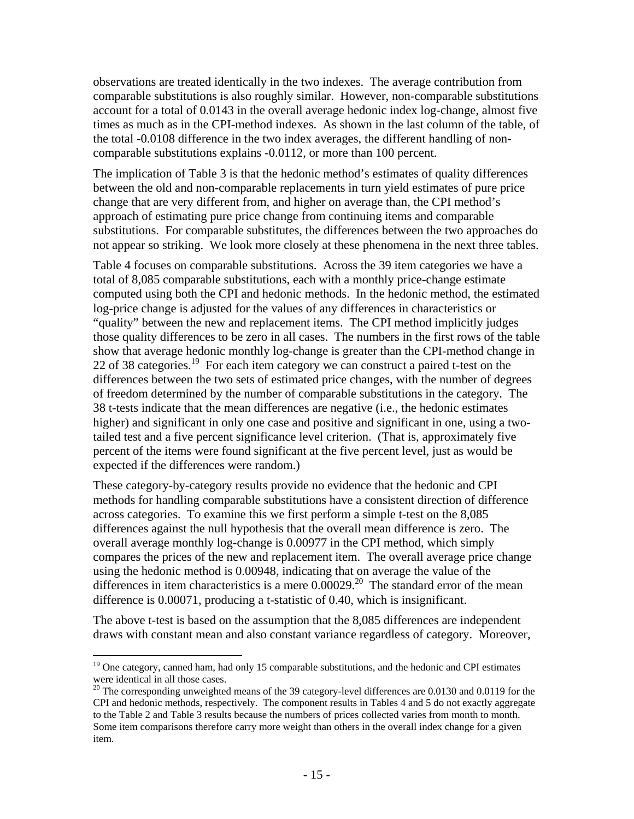observations are treated identically in the two indexes. The average contribution from comparable substitutions is also roughly similar. However, non-comparable substitutions account for a total of 0.0143 in the overall average hedonic index log-change, almost five times as much as in the CPI-method indexes. As shown in the last column of the table, of the total -0.0108 difference in the two index averages, the different handling of noncomparable substitutions explains -0.0112, or more than 100 percent.

The implication of Table 3 is that the hedonic method's estimates of quality differences between the old and non-comparable replacements in turn yield estimates of pure price change that are very different from, and higher on average than, the CPI method's approach of estimating pure price change from continuing items and comparable substitutions. For comparable substitutes, the differences between the two approaches do not appear so striking. We look more closely at these phenomena in the next three tables.

Table 4 focuses on comparable substitutions. Across the 39 item categories we have a total of 8,085 comparable substitutions, each with a monthly price-change estimate computed using both the CPI and hedonic methods. In the hedonic method, the estimated log-price change is adjusted for the values of any differences in characteristics or "quality" between the new and replacement items. The CPI method implicitly judges those quality differences to be zero in all cases. The numbers in the first rows of the table show that average hedonic monthly log-change is greater than the CPI-method change in 22 of 38 categories.<sup>19</sup> For each item category we can construct a paired t-test on the differences between the two sets of estimated price changes, with the number of degrees of freedom determined by the number of comparable substitutions in the category. The 38 t-tests indicate that the mean differences are negative (i.e., the hedonic estimates higher) and significant in only one case and positive and significant in one, using a twotailed test and a five percent significance level criterion. (That is, approximately five percent of the items were found significant at the five percent level, just as would be expected if the differences were random.)

These category-by-category results provide no evidence that the hedonic and CPI methods for handling comparable substitutions have a consistent direction of difference across categories. To examine this we first perform a simple t-test on the 8,085 differences against the null hypothesis that the overall mean difference is zero. The overall average monthly log-change is 0.00977 in the CPI method, which simply compares the prices of the new and replacement item. The overall average price change using the hedonic method is 0.00948, indicating that on average the value of the differences in item characteristics is a mere  $0.00029$ .<sup>20</sup> The standard error of the mean difference is 0.00071, producing a t-statistic of 0.40, which is insignificant.

The above t-test is based on the assumption that the 8,085 differences are independent draws with constant mean and also constant variance regardless of category. Moreover,

<sup>&</sup>lt;u>.</u>  $19$  One category, canned ham, had only 15 comparable substitutions, and the hedonic and CPI estimates were identical in all those cases.

<sup>&</sup>lt;sup>20</sup> The corresponding unweighted means of the 39 category-level differences are 0.0130 and 0.0119 for the CPI and hedonic methods, respectively. The component results in Tables 4 and 5 do not exactly aggregate to the Table 2 and Table 3 results because the numbers of prices collected varies from month to month. Some item comparisons therefore carry more weight than others in the overall index change for a given item.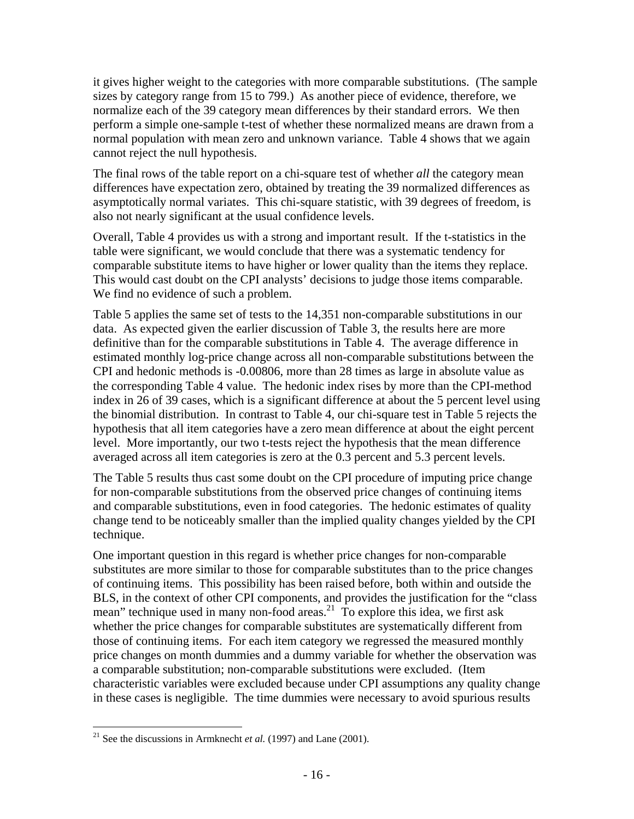it gives higher weight to the categories with more comparable substitutions. (The sample sizes by category range from 15 to 799.) As another piece of evidence, therefore, we normalize each of the 39 category mean differences by their standard errors. We then perform a simple one-sample t-test of whether these normalized means are drawn from a normal population with mean zero and unknown variance. Table 4 shows that we again cannot reject the null hypothesis.

The final rows of the table report on a chi-square test of whether *all* the category mean differences have expectation zero, obtained by treating the 39 normalized differences as asymptotically normal variates. This chi-square statistic, with 39 degrees of freedom, is also not nearly significant at the usual confidence levels.

Overall, Table 4 provides us with a strong and important result. If the t-statistics in the table were significant, we would conclude that there was a systematic tendency for comparable substitute items to have higher or lower quality than the items they replace. This would cast doubt on the CPI analysts' decisions to judge those items comparable. We find no evidence of such a problem.

Table 5 applies the same set of tests to the 14,351 non-comparable substitutions in our data. As expected given the earlier discussion of Table 3, the results here are more definitive than for the comparable substitutions in Table 4. The average difference in estimated monthly log-price change across all non-comparable substitutions between the CPI and hedonic methods is -0.00806, more than 28 times as large in absolute value as the corresponding Table 4 value. The hedonic index rises by more than the CPI-method index in 26 of 39 cases, which is a significant difference at about the 5 percent level using the binomial distribution. In contrast to Table 4, our chi-square test in Table 5 rejects the hypothesis that all item categories have a zero mean difference at about the eight percent level. More importantly, our two t-tests reject the hypothesis that the mean difference averaged across all item categories is zero at the 0.3 percent and 5.3 percent levels.

The Table 5 results thus cast some doubt on the CPI procedure of imputing price change for non-comparable substitutions from the observed price changes of continuing items and comparable substitutions, even in food categories. The hedonic estimates of quality change tend to be noticeably smaller than the implied quality changes yielded by the CPI technique.

One important question in this regard is whether price changes for non-comparable substitutes are more similar to those for comparable substitutes than to the price changes of continuing items. This possibility has been raised before, both within and outside the BLS, in the context of other CPI components, and provides the justification for the "class mean" technique used in many non-food areas.<sup>21</sup> To explore this idea, we first ask whether the price changes for comparable substitutes are systematically different from those of continuing items. For each item category we regressed the measured monthly price changes on month dummies and a dummy variable for whether the observation was a comparable substitution; non-comparable substitutions were excluded. (Item characteristic variables were excluded because under CPI assumptions any quality change in these cases is negligible. The time dummies were necessary to avoid spurious results

<sup>&</sup>lt;sup>21</sup> See the discussions in Armknecht *et al.* (1997) and Lane (2001).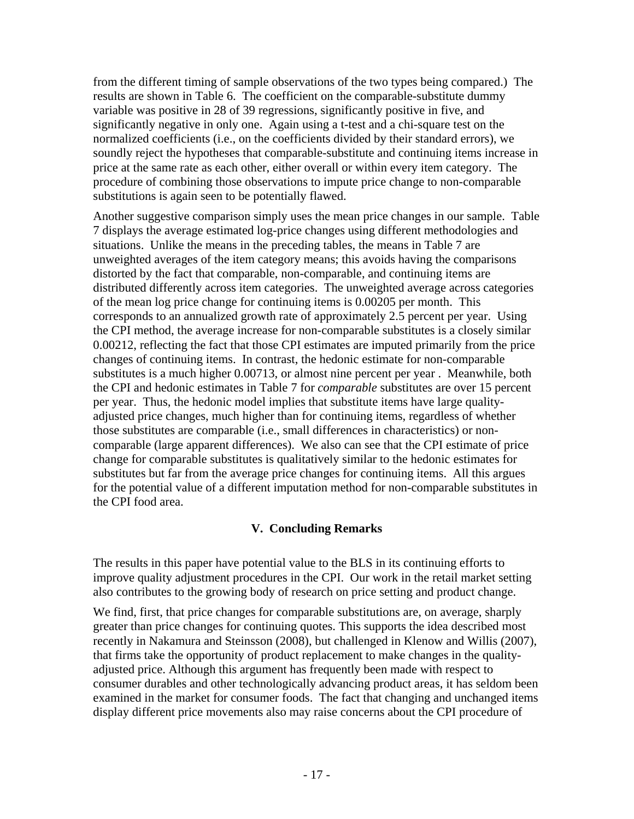from the different timing of sample observations of the two types being compared.) The results are shown in Table 6. The coefficient on the comparable-substitute dummy variable was positive in 28 of 39 regressions, significantly positive in five, and significantly negative in only one. Again using a t-test and a chi-square test on the normalized coefficients (i.e., on the coefficients divided by their standard errors), we soundly reject the hypotheses that comparable-substitute and continuing items increase in price at the same rate as each other, either overall or within every item category. The procedure of combining those observations to impute price change to non-comparable substitutions is again seen to be potentially flawed.

Another suggestive comparison simply uses the mean price changes in our sample. Table 7 displays the average estimated log-price changes using different methodologies and situations. Unlike the means in the preceding tables, the means in Table 7 are unweighted averages of the item category means; this avoids having the comparisons distorted by the fact that comparable, non-comparable, and continuing items are distributed differently across item categories. The unweighted average across categories of the mean log price change for continuing items is 0.00205 per month. This corresponds to an annualized growth rate of approximately 2.5 percent per year. Using the CPI method, the average increase for non-comparable substitutes is a closely similar 0.00212, reflecting the fact that those CPI estimates are imputed primarily from the price changes of continuing items. In contrast, the hedonic estimate for non-comparable substitutes is a much higher 0.00713, or almost nine percent per year . Meanwhile, both the CPI and hedonic estimates in Table 7 for *comparable* substitutes are over 15 percent per year. Thus, the hedonic model implies that substitute items have large qualityadjusted price changes, much higher than for continuing items, regardless of whether those substitutes are comparable (i.e., small differences in characteristics) or noncomparable (large apparent differences). We also can see that the CPI estimate of price change for comparable substitutes is qualitatively similar to the hedonic estimates for substitutes but far from the average price changes for continuing items. All this argues for the potential value of a different imputation method for non-comparable substitutes in the CPI food area.

## **V. Concluding Remarks**

The results in this paper have potential value to the BLS in its continuing efforts to improve quality adjustment procedures in the CPI. Our work in the retail market setting also contributes to the growing body of research on price setting and product change.

We find, first, that price changes for comparable substitutions are, on average, sharply greater than price changes for continuing quotes. This supports the idea described most recently in Nakamura and Steinsson (2008), but challenged in Klenow and Willis (2007), that firms take the opportunity of product replacement to make changes in the qualityadjusted price. Although this argument has frequently been made with respect to consumer durables and other technologically advancing product areas, it has seldom been examined in the market for consumer foods. The fact that changing and unchanged items display different price movements also may raise concerns about the CPI procedure of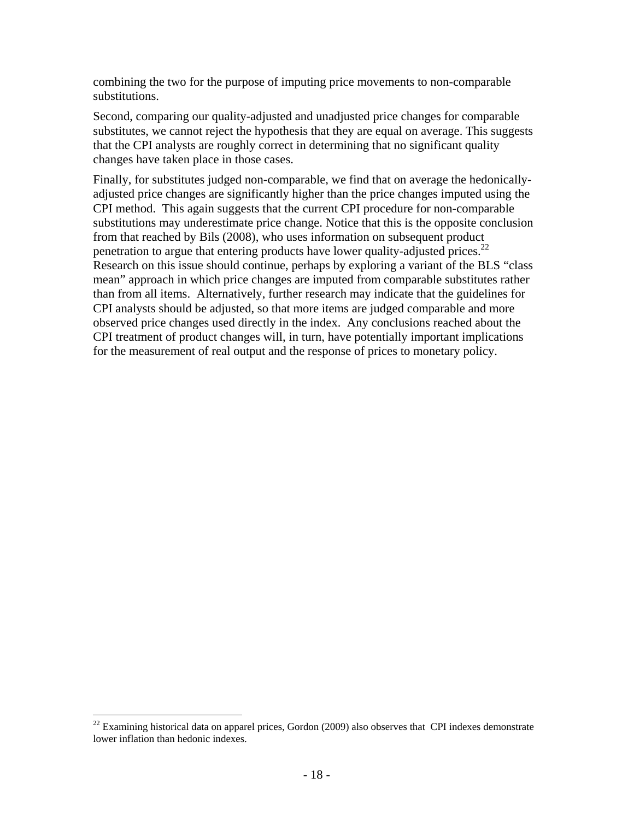combining the two for the purpose of imputing price movements to non-comparable substitutions.

Second, comparing our quality-adjusted and unadjusted price changes for comparable substitutes, we cannot reject the hypothesis that they are equal on average. This suggests that the CPI analysts are roughly correct in determining that no significant quality changes have taken place in those cases.

Finally, for substitutes judged non-comparable, we find that on average the hedonicallyadjusted price changes are significantly higher than the price changes imputed using the CPI method. This again suggests that the current CPI procedure for non-comparable substitutions may underestimate price change. Notice that this is the opposite conclusion from that reached by Bils (2008), who uses information on subsequent product penetration to argue that entering products have lower quality-adjusted prices.<sup>22</sup> Research on this issue should continue, perhaps by exploring a variant of the BLS "class mean" approach in which price changes are imputed from comparable substitutes rather than from all items. Alternatively, further research may indicate that the guidelines for CPI analysts should be adjusted, so that more items are judged comparable and more observed price changes used directly in the index. Any conclusions reached about the CPI treatment of product changes will, in turn, have potentially important implications for the measurement of real output and the response of prices to monetary policy.

 $22$  Examining historical data on apparel prices, Gordon (2009) also observes that CPI indexes demonstrate lower inflation than hedonic indexes.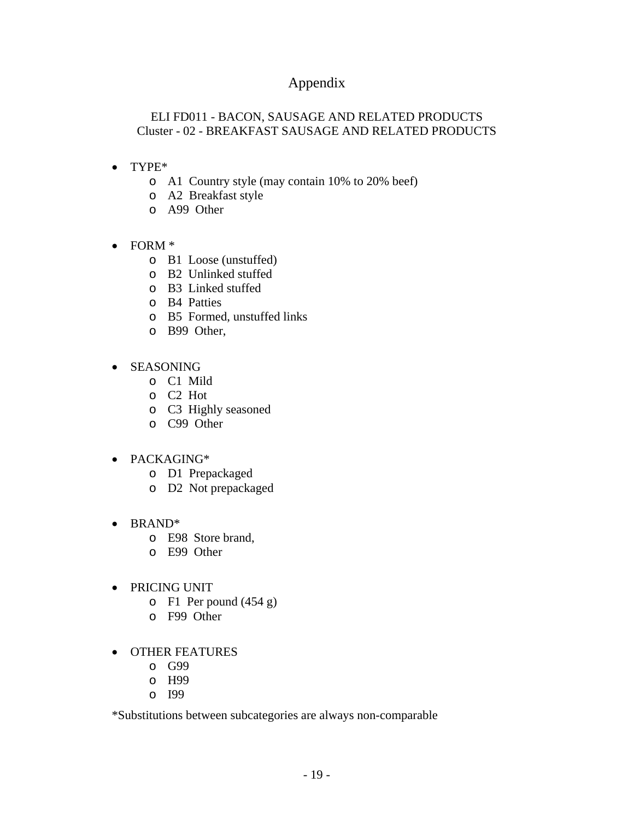## Appendix

## ELI FD011 - BACON, SAUSAGE AND RELATED PRODUCTS Cluster - 02 - BREAKFAST SAUSAGE AND RELATED PRODUCTS

- TYPE\*
	- o A1 Country style (may contain 10% to 20% beef)
	- o A2 Breakfast style
	- o A99 Other
- FORM \*
	- o B1 Loose (unstuffed)
	- o B2 Unlinked stuffed
	- o B3 Linked stuffed
	- o B4 Patties
	- o B5 Formed, unstuffed links
	- o B99 Other,
- SEASONING
	- o C1 Mild
	- o C2 Hot
	- o C3 Highly seasoned
	- o C99 Other
- PACKAGING\*
	- o D1 Prepackaged
	- o D2 Not prepackaged
- BRAND<sup>\*</sup>
	- o E98 Store brand,
	- o E99 Other
- PRICING UNIT
	- o F1 Per pound (454 g)
	- o F99 Other
- OTHER FEATURES
	- o G99
	- o H99
	- o I99

\*Substitutions between subcategories are always non-comparable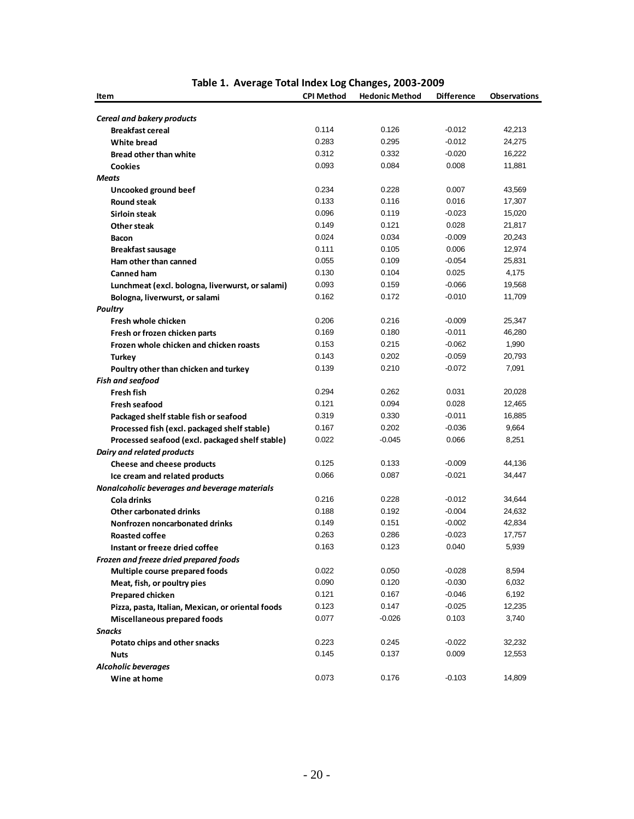| Item                                                         | <b>CPI Method</b> | <b>Hedonic Method</b> | <b>Difference</b> | <b>Observations</b> |
|--------------------------------------------------------------|-------------------|-----------------------|-------------------|---------------------|
|                                                              |                   |                       |                   |                     |
| <b>Cereal and bakery products</b><br><b>Breakfast cereal</b> | 0.114             | 0.126                 | -0.012            | 42,213              |
| White bread                                                  | 0.283             | 0.295                 | -0.012            | 24,275              |
| <b>Bread other than white</b>                                | 0.312             | 0.332                 | $-0.020$          | 16,222              |
|                                                              | 0.093             | 0.084                 | 0.008             | 11,881              |
| <b>Cookies</b>                                               |                   |                       |                   |                     |
| <b>Meats</b>                                                 | 0.234             | 0.228                 | 0.007             | 43,569              |
| Uncooked ground beef                                         | 0.133             | 0.116                 | 0.016             | 17,307              |
| <b>Round steak</b>                                           | 0.096             | 0.119                 |                   |                     |
| Sirloin steak                                                | 0.149             | 0.121                 | $-0.023$<br>0.028 | 15,020              |
| Other steak                                                  |                   |                       |                   | 21,817              |
| <b>Bacon</b>                                                 | 0.024             | 0.034                 | $-0.009$          | 20,243              |
| <b>Breakfast sausage</b>                                     | 0.111             | 0.105                 | 0.006             | 12,974              |
| Ham other than canned                                        | 0.055             | 0.109                 | $-0.054$          | 25,831              |
| <b>Canned ham</b>                                            | 0.130             | 0.104                 | 0.025             | 4,175               |
| Lunchmeat (excl. bologna, liverwurst, or salami)             | 0.093             | 0.159                 | $-0.066$          | 19,568              |
| Bologna, liverwurst, or salami                               | 0.162             | 0.172                 | $-0.010$          | 11,709              |
| <b>Poultry</b>                                               |                   |                       |                   |                     |
| Fresh whole chicken                                          | 0.206             | 0.216                 | $-0.009$          | 25,347              |
| Fresh or frozen chicken parts                                | 0.169             | 0.180                 | $-0.011$          | 46,280              |
| Frozen whole chicken and chicken roasts                      | 0.153             | 0.215                 | $-0.062$          | 1,990               |
| <b>Turkey</b>                                                | 0.143             | 0.202                 | $-0.059$          | 20,793              |
| Poultry other than chicken and turkey                        | 0.139             | 0.210                 | $-0.072$          | 7,091               |
| <b>Fish and seafood</b>                                      |                   |                       |                   |                     |
| <b>Fresh fish</b>                                            | 0.294             | 0.262                 | 0.031             | 20,028              |
| <b>Fresh seafood</b>                                         | 0.121             | 0.094                 | 0.028             | 12,465              |
| Packaged shelf stable fish or seafood                        | 0.319             | 0.330                 | $-0.011$          | 16,885              |
| Processed fish (excl. packaged shelf stable)                 | 0.167             | 0.202                 | $-0.036$          | 9,664               |
| Processed seafood (excl. packaged shelf stable)              | 0.022             | $-0.045$              | 0.066             | 8,251               |
| Dairy and related products                                   |                   |                       |                   |                     |
| Cheese and cheese products                                   | 0.125             | 0.133                 | $-0.009$          | 44,136              |
| Ice cream and related products                               | 0.066             | 0.087                 | $-0.021$          | 34,447              |
| Nonalcoholic beverages and beverage materials                |                   |                       |                   |                     |
| Cola drinks                                                  | 0.216             | 0.228                 | -0.012            | 34,644              |
| <b>Other carbonated drinks</b>                               | 0.188             | 0.192                 | $-0.004$          | 24,632              |
| Nonfrozen noncarbonated drinks                               | 0.149             | 0.151                 | $-0.002$          | 42,834              |
| <b>Roasted coffee</b>                                        | 0.263             | 0.286                 | $-0.023$          | 17,757              |
| Instant or freeze dried coffee                               | 0.163             | 0.123                 | 0.040             | 5,939               |
| Frozen and freeze dried prepared foods                       |                   |                       |                   |                     |
| Multiple course prepared foods                               | 0.022             | 0.050                 | $-0.028$          | 8,594               |
| Meat, fish, or poultry pies                                  | 0.090             | 0.120                 | -0.030            | 6,032               |
| Prepared chicken                                             | 0.121             | 0.167                 | $-0.046$          | 6,192               |
| Pizza, pasta, Italian, Mexican, or oriental foods            | 0.123             | 0.147                 | $-0.025$          | 12,235              |
| <b>Miscellaneous prepared foods</b>                          | 0.077             | $-0.026$              | 0.103             | 3,740               |
| <b>Snacks</b>                                                |                   |                       |                   |                     |
| Potato chips and other snacks                                | 0.223             | 0.245                 | $-0.022$          | 32,232              |
| <b>Nuts</b>                                                  | 0.145             | 0.137                 | 0.009             | 12,553              |
| <b>Alcoholic beverages</b>                                   |                   |                       |                   |                     |
| Wine at home                                                 | 0.073             | 0.176                 | $-0.103$          | 14,809              |

#### **Table 1. Average Total Index Log Changes, 2003‐2009**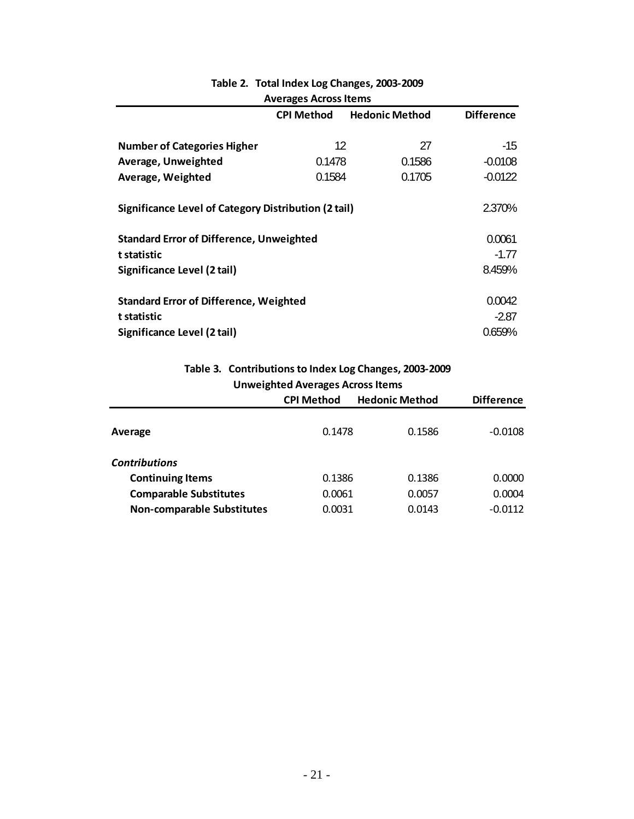| <b>Averages Across Items</b>                                   |                   |                       |                   |
|----------------------------------------------------------------|-------------------|-----------------------|-------------------|
|                                                                | <b>CPI Method</b> | <b>Hedonic Method</b> | <b>Difference</b> |
|                                                                |                   |                       |                   |
| <b>Number of Categories Higher</b>                             | 12                | 27                    | -15               |
| Average, Unweighted                                            | 0.1478            | 0.1586                | $-0.0108$         |
| Average, Weighted                                              | 0.1584            | 0.1705                | $-0.0122$         |
| 2.370%<br>Significance Level of Category Distribution (2 tail) |                   |                       |                   |
| <b>Standard Error of Difference, Unweighted</b>                |                   |                       | 0.0061            |
| t statistic                                                    |                   |                       | $-1.77$           |
| Significance Level (2 tail)                                    |                   |                       | 8.459%            |
|                                                                |                   |                       |                   |
| <b>Standard Error of Difference, Weighted</b>                  |                   |                       | 0.0042            |
| t statistic                                                    |                   |                       | $-2.87$           |
| Significance Level (2 tail)                                    |                   |                       | 0.659%            |

# **Table 2. Total Index Log Changes, 2003‐2009**

**Table 3. Contributionsto Index Log Changes, 2003‐2009 Unweighted Averages Across Items** 

|                                   | <b>CPI Method</b> | <b>Hedonic Method</b> | <b>Difference</b> |
|-----------------------------------|-------------------|-----------------------|-------------------|
| Average                           | 0.1478            | 0.1586                | $-0.0108$         |
| <b>Contributions</b>              |                   |                       |                   |
| <b>Continuing Items</b>           | 0.1386            | 0.1386                | 0.0000            |
| <b>Comparable Substitutes</b>     | 0.0061            | 0.0057                | 0.0004            |
| <b>Non-comparable Substitutes</b> | 0.0031            | 0.0143                | $-0.0112$         |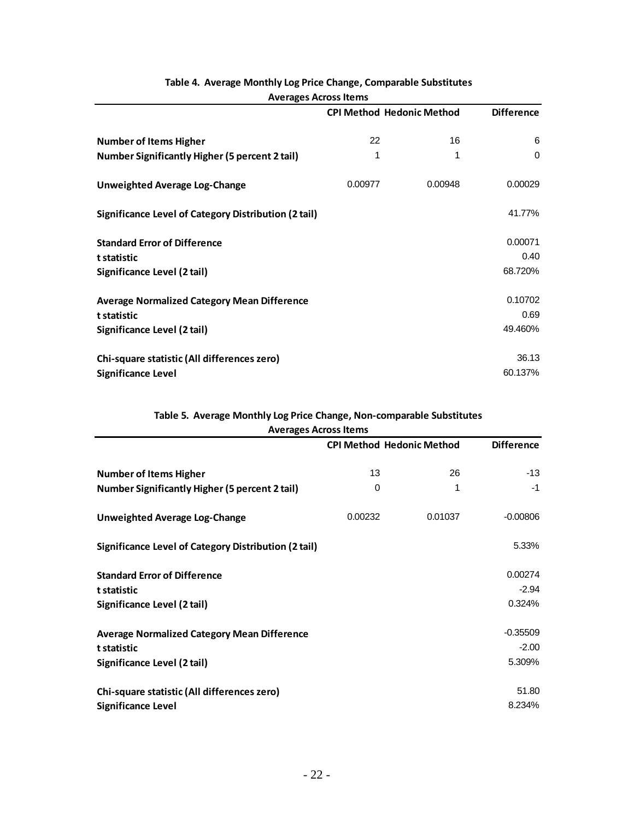|                                                       |         | <b>CPI Method Hedonic Method</b> | <b>Difference</b> |
|-------------------------------------------------------|---------|----------------------------------|-------------------|
| <b>Number of Items Higher</b>                         | 22      | 16                               | 6                 |
| <b>Number Significantly Higher (5 percent 2 tail)</b> | 1       | 1                                | $\Omega$          |
| <b>Unweighted Average Log-Change</b>                  | 0.00977 | 0.00948                          | 0.00029           |
| Significance Level of Category Distribution (2 tail)  |         |                                  | 41.77%            |
| <b>Standard Error of Difference</b>                   |         |                                  | 0.00071           |
| t statistic                                           |         |                                  | 0.40              |
| Significance Level (2 tail)                           |         |                                  | 68.720%           |
| <b>Average Normalized Category Mean Difference</b>    |         |                                  | 0.10702           |
| t statistic                                           |         |                                  | 0.69              |
| Significance Level (2 tail)                           |         |                                  | 49.460%           |
| Chi-square statistic (All differences zero)           |         |                                  | 36.13             |
| <b>Significance Level</b>                             |         |                                  | 60.137%           |

### **Table 4. Average Monthly Log Price Change, Comparable Substitutes Averages Across Items**

# **Table 5. Average Monthly Log Price Change, Non‐comparable Substitutes**

| <b>Averages Across Items</b>                          |         |                                  |                   |
|-------------------------------------------------------|---------|----------------------------------|-------------------|
|                                                       |         | <b>CPI Method Hedonic Method</b> | <b>Difference</b> |
| <b>Number of Items Higher</b>                         | 13      | 26                               | $-13$             |
| <b>Number Significantly Higher (5 percent 2 tail)</b> | 0       | 1                                | -1                |
| <b>Unweighted Average Log-Change</b>                  | 0.00232 | 0.01037                          | $-0.00806$        |
| Significance Level of Category Distribution (2 tail)  |         |                                  | 5.33%             |
| <b>Standard Error of Difference</b>                   |         |                                  | 0.00274           |
| t statistic                                           |         |                                  | $-2.94$           |
| Significance Level (2 tail)                           |         |                                  | 0.324%            |
| <b>Average Normalized Category Mean Difference</b>    |         |                                  | $-0.35509$        |
| t statistic                                           |         |                                  | $-2.00$           |
| Significance Level (2 tail)                           |         |                                  | 5.309%            |
| Chi-square statistic (All differences zero)           |         |                                  | 51.80             |
| <b>Significance Level</b>                             |         |                                  | 8.234%            |

#### **Averages AcrossItems**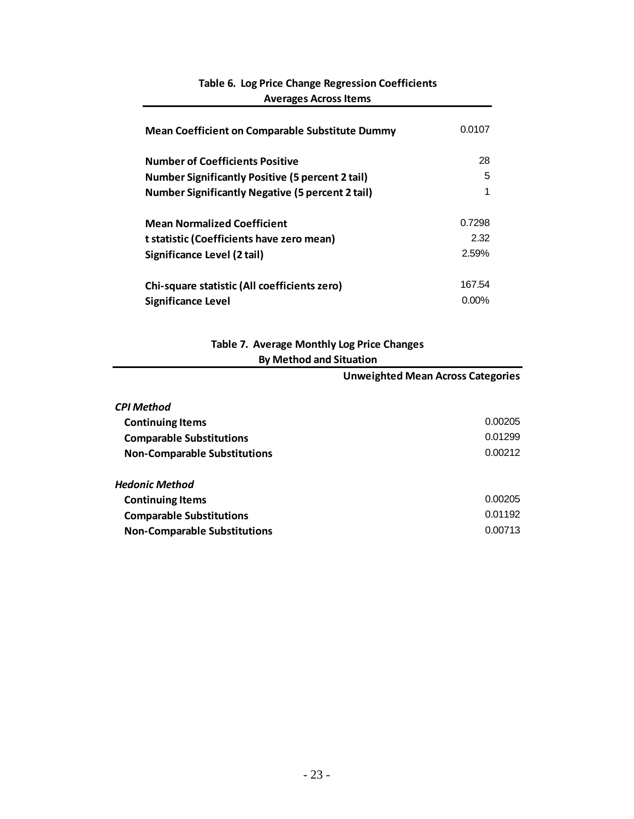| <b>Mean Coefficient on Comparable Substitute Dummy</b>  | 0.0107   |
|---------------------------------------------------------|----------|
| <b>Number of Coefficients Positive</b>                  | 28       |
| <b>Number Significantly Positive (5 percent 2 tail)</b> | 5        |
| <b>Number Significantly Negative (5 percent 2 tail)</b> | 1        |
| <b>Mean Normalized Coefficient</b>                      | 0.7298   |
| t statistic (Coefficients have zero mean)               | 2.32     |
| Significance Level (2 tail)                             | 2.59%    |
| Chi-square statistic (All coefficients zero)            | 167.54   |
| Significance Level                                      | $0.00\%$ |

## **Table 6. Log Price Change Regression Coefficients Averages Across Items**

## **Table 7. Average Monthly Log Price Changes By Method and Situation**

|                                     | <b>Unweighted Mean Across Categories</b> |
|-------------------------------------|------------------------------------------|
| <b>CPI Method</b>                   |                                          |
| <b>Continuing Items</b>             | 0.00205                                  |
| <b>Comparable Substitutions</b>     | 0.01299                                  |
| <b>Non-Comparable Substitutions</b> | 0.00212                                  |
| <b>Hedonic Method</b>               |                                          |
| <b>Continuing Items</b>             | 0.00205                                  |
| <b>Comparable Substitutions</b>     | 0.01192                                  |
| <b>Non-Comparable Substitutions</b> | 0.00713                                  |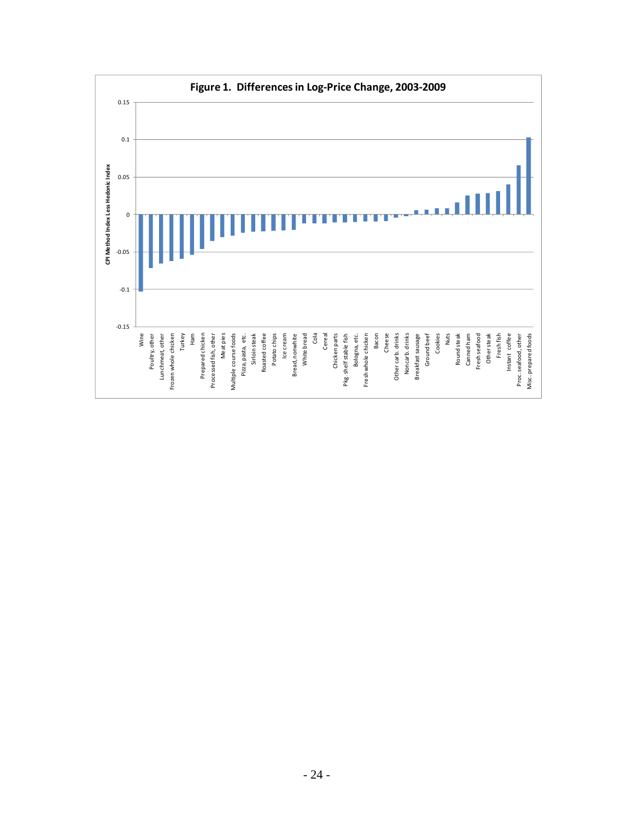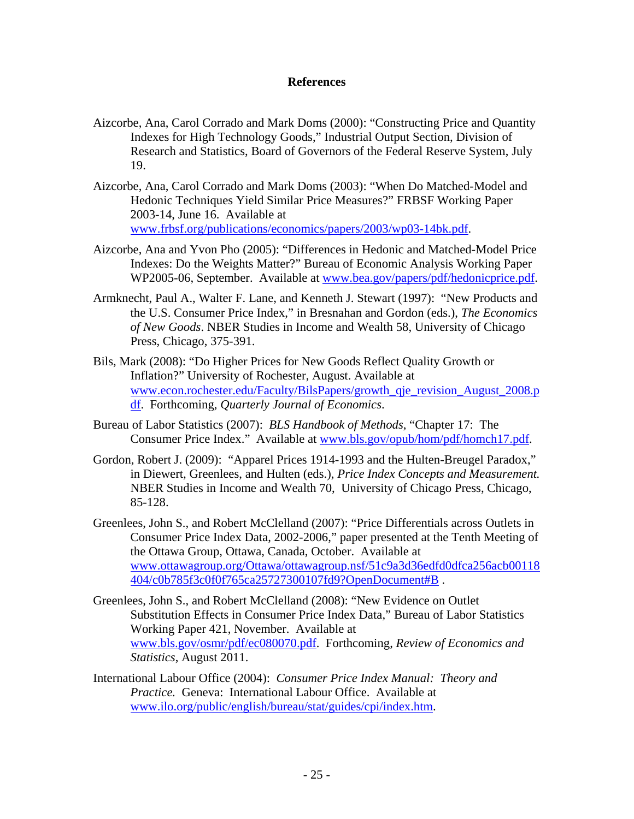#### **References**

- Aizcorbe, Ana, Carol Corrado and Mark Doms (2000): "Constructing Price and Quantity Indexes for High Technology Goods," Industrial Output Section, Division of Research and Statistics, Board of Governors of the Federal Reserve System, July 19.
- Aizcorbe, Ana, Carol Corrado and Mark Doms (2003): "When Do Matched-Model and Hedonic Techniques Yield Similar Price Measures?" FRBSF Working Paper 2003-14, June 16. Available at www.frbsf.org/publications/economics/papers/2003/wp03-14bk.pdf.
- Aizcorbe, Ana and Yvon Pho (2005): "Differences in Hedonic and Matched-Model Price Indexes: Do the Weights Matter?" Bureau of Economic Analysis Working Paper WP2005-06, September. Available at www.bea.gov/papers/pdf/hedonicprice.pdf.
- Armknecht, Paul A., Walter F. Lane, and Kenneth J. Stewart (1997): "New Products and the U.S. Consumer Price Index," in Bresnahan and Gordon (eds.), *The Economics of New Goods*. NBER Studies in Income and Wealth 58, University of Chicago Press, Chicago, 375-391.
- Bils, Mark (2008): "Do Higher Prices for New Goods Reflect Quality Growth or Inflation?" University of Rochester, August. Available at www.econ.rochester.edu/Faculty/BilsPapers/growth\_qje\_revision\_August\_2008.p df. Forthcoming, *Quarterly Journal of Economics*.
- Bureau of Labor Statistics (2007): *BLS Handbook of Methods*, "Chapter 17: The Consumer Price Index." Available at www.bls.gov/opub/hom/pdf/homch17.pdf.
- Gordon, Robert J. (2009): "Apparel Prices 1914-1993 and the Hulten-Breugel Paradox," in Diewert, Greenlees, and Hulten (eds.), *Price Index Concepts and Measurement.* NBER Studies in Income and Wealth 70, University of Chicago Press, Chicago, 85-128.
- Greenlees, John S., and Robert McClelland (2007): "Price Differentials across Outlets in Consumer Price Index Data, 2002-2006," paper presented at the Tenth Meeting of the Ottawa Group, Ottawa, Canada, October. Available at www.ottawagroup.org/Ottawa/ottawagroup.nsf/51c9a3d36edfd0dfca256acb00118 404/c0b785f3c0f0f765ca25727300107fd9?OpenDocument#B .
- Greenlees, John S., and Robert McClelland (2008): "New Evidence on Outlet Substitution Effects in Consumer Price Index Data," Bureau of Labor Statistics Working Paper 421, November. Available at www.bls.gov/osmr/pdf/ec080070.pdf. Forthcoming, *Review of Economics and Statistics*, August 2011.
- International Labour Office (2004): *Consumer Price Index Manual: Theory and Practice.* Geneva: International Labour Office. Available at www.ilo.org/public/english/bureau/stat/guides/cpi/index.htm.